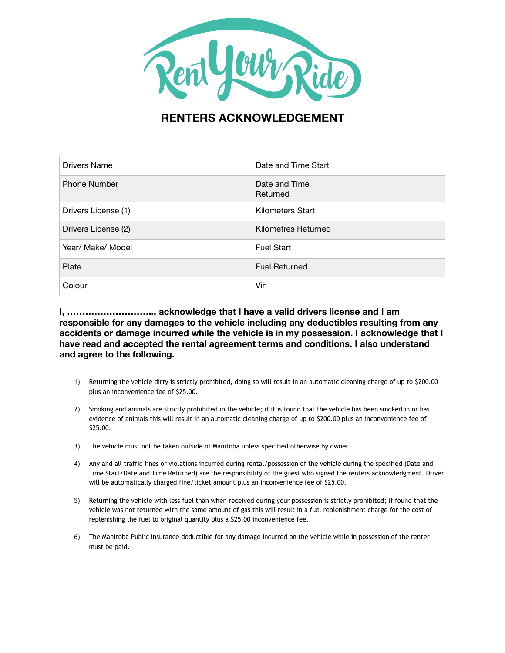

## **RENTERS ACKNOWLEDGEMENT**

| Drivers Name        | Date and Time Start       |  |
|---------------------|---------------------------|--|
| <b>Phone Number</b> | Date and Time<br>Returned |  |
| Drivers License (1) | Kilometers Start          |  |
| Drivers License (2) | Kilometres Returned       |  |
| Year/ Make/ Model   | <b>Fuel Start</b>         |  |
| Plate               | <b>Fuel Returned</b>      |  |
| Colour              | Vin                       |  |

**I, ……………………….., acknowledge that I have a valid drivers license and I am responsible for any damages to the vehicle including any deductibles resulting from any accidents or damage incurred while the vehicle is in my possession. I acknowledge that I have read and accepted the rental agreement terms and conditions. I also understand and agree to the following.** 

- 1) Returning the vehicle dirty is strictly prohibited, doing so will result in an automatic cleaning charge of up to \$200.00 plus an inconvenience fee of \$25.00.
- 2) Smoking and animals are strictly prohibited in the vehicle; if it is found that the vehicle has been smoked in or has evidence of animals this will result in an automatic cleaning charge of up to \$200.00 plus an inconvenience fee of \$25.00.
- 3) The vehicle must not be taken outside of Manitoba unless specified otherwise by owner.
- 4) Any and all traffic fines or violations incurred during rental/possession of the vehicle during the specified (Date and Time Start/Date and Time Returned) are the responsibility of the guest who signed the renters acknowledgment. Driver will be automatically charged fine/ticket amount plus an inconvenience fee of \$25.00.
- 5) Returning the vehicle with less fuel than when received during your possession is strictly prohibited; if found that the vehicle was not returned with the same amount of gas this will result in a fuel replenishment charge for the cost of replenishing the fuel to original quantity plus a \$25.00 inconvenience fee.
- 6) The Manitoba Public Insurance deductible for any damage incurred on the vehicle while in possession of the renter must be paid.